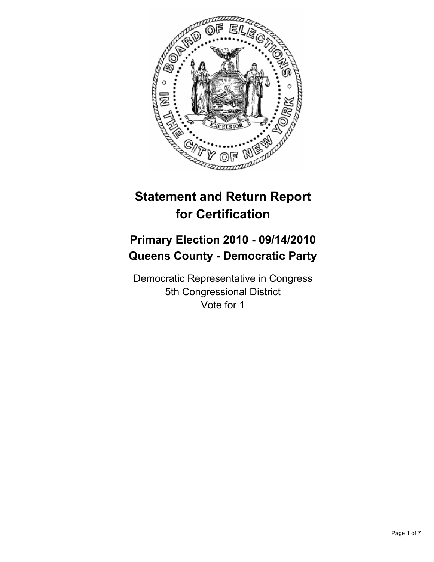

# **Statement and Return Report for Certification**

# **Primary Election 2010 - 09/14/2010 Queens County - Democratic Party**

Democratic Representative in Congress 5th Congressional District Vote for 1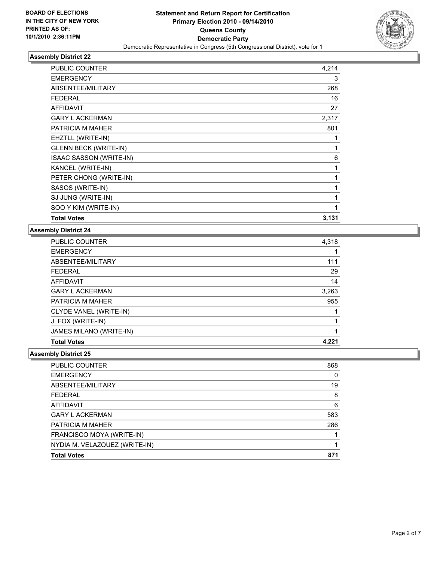

| <b>PUBLIC COUNTER</b>        | 4,214 |
|------------------------------|-------|
| <b>EMERGENCY</b>             | 3     |
| ABSENTEE/MILITARY            | 268   |
| <b>FEDERAL</b>               | 16    |
| <b>AFFIDAVIT</b>             | 27    |
| <b>GARY L ACKERMAN</b>       | 2,317 |
| PATRICIA M MAHER             | 801   |
| EHZTLL (WRITE-IN)            | 1     |
| <b>GLENN BECK (WRITE-IN)</b> | 1     |
| ISAAC SASSON (WRITE-IN)      | 6     |
| KANCEL (WRITE-IN)            | 1     |
| PETER CHONG (WRITE-IN)       | 1     |
| SASOS (WRITE-IN)             | 1     |
| SJ JUNG (WRITE-IN)           | 1     |
| SOO Y KIM (WRITE-IN)         | 1     |
| <b>Total Votes</b>           | 3,131 |

#### **Assembly District 24**

| <b>PUBLIC COUNTER</b>   | 4,318 |
|-------------------------|-------|
| <b>EMERGENCY</b>        |       |
| ABSENTEE/MILITARY       | 111   |
| <b>FEDERAL</b>          | 29    |
| <b>AFFIDAVIT</b>        | 14    |
| <b>GARY L ACKERMAN</b>  | 3,263 |
| <b>PATRICIA M MAHER</b> | 955   |
| CLYDE VANEL (WRITE-IN)  |       |
| J. FOX (WRITE-IN)       |       |
| JAMES MILANO (WRITE-IN) |       |
| <b>Total Votes</b>      | 4.221 |

| PUBLIC COUNTER                | 868 |
|-------------------------------|-----|
| <b>EMERGENCY</b>              | 0   |
| ABSENTEE/MILITARY             | 19  |
| <b>FEDERAL</b>                | 8   |
| AFFIDAVIT                     | 6   |
| <b>GARY L ACKERMAN</b>        | 583 |
| <b>PATRICIA M MAHER</b>       | 286 |
| FRANCISCO MOYA (WRITE-IN)     |     |
| NYDIA M. VELAZQUEZ (WRITE-IN) |     |
| <b>Total Votes</b>            | 871 |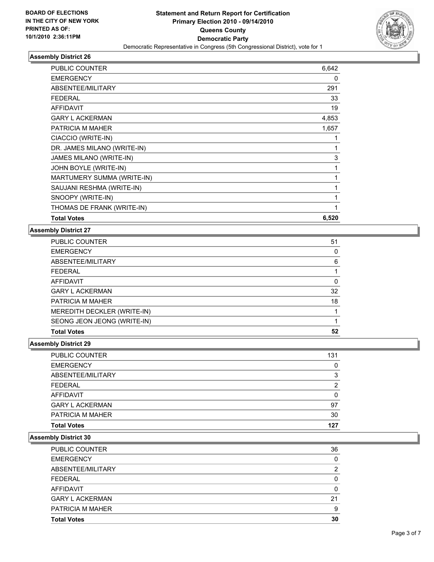

| <b>PUBLIC COUNTER</b>       | 6,642 |
|-----------------------------|-------|
| <b>EMERGENCY</b>            | 0     |
| ABSENTEE/MILITARY           | 291   |
| <b>FEDERAL</b>              | 33    |
| <b>AFFIDAVIT</b>            | 19    |
| <b>GARY L ACKERMAN</b>      | 4,853 |
| PATRICIA M MAHER            | 1,657 |
| CIACCIO (WRITE-IN)          | 1     |
| DR. JAMES MILANO (WRITE-IN) | 1     |
| JAMES MILANO (WRITE-IN)     | 3     |
| JOHN BOYLE (WRITE-IN)       | 1     |
| MARTUMERY SUMMA (WRITE-IN)  | 1     |
| SAUJANI RESHMA (WRITE-IN)   | 1     |
| SNOOPY (WRITE-IN)           | 1     |
| THOMAS DE FRANK (WRITE-IN)  | 1     |
| <b>Total Votes</b>          | 6,520 |

#### **Assembly District 27**

| PUBLIC COUNTER              | 51 |
|-----------------------------|----|
| <b>EMERGENCY</b>            | 0  |
| ABSENTEE/MILITARY           | 6  |
| <b>FEDERAL</b>              |    |
| AFFIDAVIT                   | 0  |
| <b>GARY L ACKERMAN</b>      | 32 |
| <b>PATRICIA M MAHER</b>     | 18 |
| MEREDITH DECKLER (WRITE-IN) |    |
| SEONG JEON JEONG (WRITE-IN) |    |
| <b>Total Votes</b>          | 52 |

# **Assembly District 29**

| PUBLIC COUNTER         | 131          |
|------------------------|--------------|
| EMERGENCY              | $\mathbf{0}$ |
| ABSENTEE/MILITARY      | 3            |
| FEDERAL                | 2            |
| AFFIDAVIT              | $\mathbf{0}$ |
| <b>GARY L ACKERMAN</b> | 97           |
| PATRICIA M MAHER       | 30           |
| Total Votes            | 127          |

| PUBLIC COUNTER         | 36 |
|------------------------|----|
| <b>EMERGENCY</b>       | 0  |
| ABSENTEE/MILITARY      | 2  |
| <b>FEDERAL</b>         | o  |
| <b>AFFIDAVIT</b>       | ŋ  |
| <b>GARY L ACKERMAN</b> | 21 |
| PATRICIA M MAHER       | 9  |
| <b>Total Votes</b>     | 30 |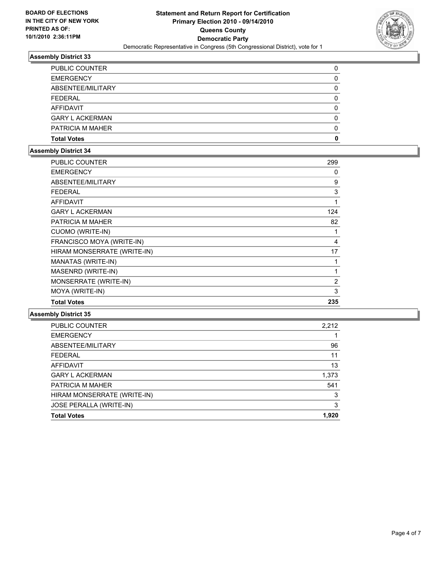

| <b>Total Votes</b>     | 0 |
|------------------------|---|
| PATRICIA M MAHER       | 0 |
| <b>GARY L ACKERMAN</b> | 0 |
| AFFIDAVIT              | 0 |
| <b>FEDERAL</b>         | 0 |
| ABSENTEE/MILITARY      | 0 |
| <b>EMERGENCY</b>       | 0 |
| <b>PUBLIC COUNTER</b>  |   |

### **Assembly District 34**

| PUBLIC COUNTER              | 299 |
|-----------------------------|-----|
| <b>EMERGENCY</b>            | 0   |
| ABSENTEE/MILITARY           | 9   |
| <b>FEDERAL</b>              | 3   |
| <b>AFFIDAVIT</b>            | 1   |
| <b>GARY L ACKERMAN</b>      | 124 |
| PATRICIA M MAHER            | 82  |
| CUOMO (WRITE-IN)            | 1   |
| FRANCISCO MOYA (WRITE-IN)   | 4   |
| HIRAM MONSERRATE (WRITE-IN) | 17  |
| MANATAS (WRITE-IN)          | 1   |
| MASENRD (WRITE-IN)          | 1   |
| MONSERRATE (WRITE-IN)       | 2   |
| MOYA (WRITE-IN)             | 3   |
| <b>Total Votes</b>          | 235 |

| PUBLIC COUNTER                 | 2.212 |
|--------------------------------|-------|
| <b>EMERGENCY</b>               |       |
| ABSENTEE/MILITARY              | 96    |
| <b>FEDERAL</b>                 | 11    |
| <b>AFFIDAVIT</b>               | 13    |
| <b>GARY L ACKERMAN</b>         | 1,373 |
| PATRICIA M MAHER               | 541   |
| HIRAM MONSERRATE (WRITE-IN)    | 3     |
| <b>JOSE PERALLA (WRITE-IN)</b> | 3     |
| <b>Total Votes</b>             | 1.920 |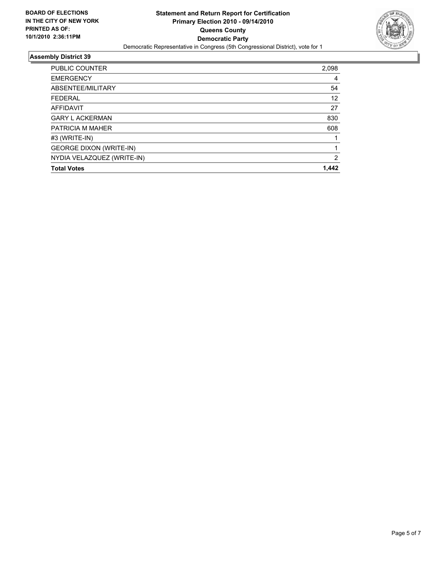

| <b>PUBLIC COUNTER</b>          | 2,098          |
|--------------------------------|----------------|
| <b>EMERGENCY</b>               | 4              |
| ABSENTEE/MILITARY              | 54             |
| <b>FFDFRAL</b>                 | 12             |
| AFFIDAVIT                      | 27             |
| <b>GARY L ACKERMAN</b>         | 830            |
| PATRICIA M MAHER               | 608            |
| #3 (WRITE-IN)                  |                |
| <b>GEORGE DIXON (WRITE-IN)</b> |                |
| NYDIA VELAZQUEZ (WRITE-IN)     | $\overline{2}$ |
| <b>Total Votes</b>             | 1,442          |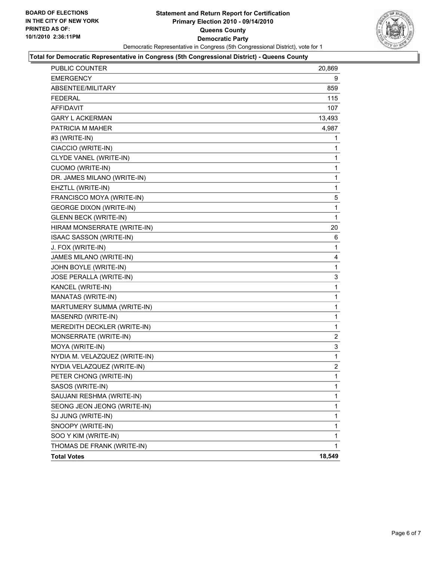

#### **Total for Democratic Representative in Congress (5th Congressional District) - Queens County**

| PUBLIC COUNTER                 | 20,869       |
|--------------------------------|--------------|
| <b>EMERGENCY</b>               | 9            |
| ABSENTEE/MILITARY              | 859          |
| <b>FEDERAL</b>                 | 115          |
| <b>AFFIDAVIT</b>               | 107          |
| <b>GARY L ACKERMAN</b>         | 13,493       |
| PATRICIA M MAHER               | 4,987        |
| #3 (WRITE-IN)                  | 1            |
| CIACCIO (WRITE-IN)             | 1            |
| CLYDE VANEL (WRITE-IN)         | 1            |
| <b>CUOMO (WRITE-IN)</b>        | 1            |
| DR. JAMES MILANO (WRITE-IN)    | 1            |
| EHZTLL (WRITE-IN)              | 1            |
| FRANCISCO MOYA (WRITE-IN)      | 5            |
| <b>GEORGE DIXON (WRITE-IN)</b> | 1            |
| <b>GLENN BECK (WRITE-IN)</b>   | $\mathbf{1}$ |
| HIRAM MONSERRATE (WRITE-IN)    | 20           |
| ISAAC SASSON (WRITE-IN)        | 6            |
| J. FOX (WRITE-IN)              | 1            |
| JAMES MILANO (WRITE-IN)        | 4            |
| JOHN BOYLE (WRITE-IN)          | 1            |
| JOSE PERALLA (WRITE-IN)        | 3            |
| KANCEL (WRITE-IN)              | 1            |
| MANATAS (WRITE-IN)             | 1            |
| MARTUMERY SUMMA (WRITE-IN)     | 1            |
| MASENRD (WRITE-IN)             | 1            |
| MEREDITH DECKLER (WRITE-IN)    | $\mathbf 1$  |
| MONSERRATE (WRITE-IN)          | 2            |
| MOYA (WRITE-IN)                | 3            |
| NYDIA M. VELAZQUEZ (WRITE-IN)  | 1            |
| NYDIA VELAZQUEZ (WRITE-IN)     | 2            |
| PETER CHONG (WRITE-IN)         | 1            |
| SASOS (WRITE-IN)               | 1            |
| SAUJANI RESHMA (WRITE-IN)      | 1            |
| SEONG JEON JEONG (WRITE-IN)    | 1            |
| SJ JUNG (WRITE-IN)             | 1            |
| SNOOPY (WRITE-IN)              | 1            |
| SOO Y KIM (WRITE-IN)           | 1            |
| THOMAS DE FRANK (WRITE-IN)     | $\mathbf{1}$ |
| <b>Total Votes</b>             | 18,549       |
|                                |              |